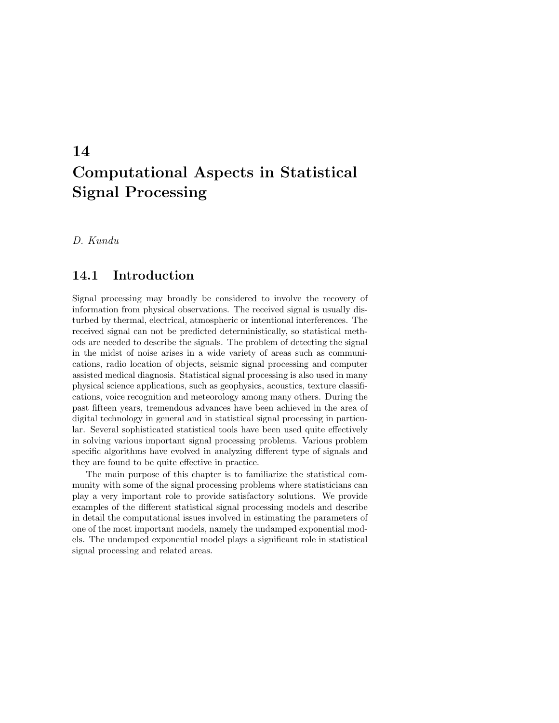# 14 Computational Aspects in Statistical Signal Processing

D. Kundu

## 14.1 Introduction

Signal processing may broadly be considered to involve the recovery of information from physical observations. The received signal is usually disturbed by thermal, electrical, atmospheric or intentional interferences. The received signal can not be predicted deterministically, so statistical methods are needed to describe the signals. The problem of detecting the signal in the midst of noise arises in a wide variety of areas such as communications, radio location of objects, seismic signal processing and computer assisted medical diagnosis. Statistical signal processing is also used in many physical science applications, such as geophysics, acoustics, texture classifications, voice recognition and meteorology among many others. During the past fifteen years, tremendous advances have been achieved in the area of digital technology in general and in statistical signal processing in particular. Several sophisticated statistical tools have been used quite effectively in solving various important signal processing problems. Various problem specific algorithms have evolved in analyzing different type of signals and they are found to be quite effective in practice.

The main purpose of this chapter is to familiarize the statistical community with some of the signal processing problems where statisticians can play a very important role to provide satisfactory solutions. We provide examples of the different statistical signal processing models and describe in detail the computational issues involved in estimating the parameters of one of the most important models, namely the undamped exponential models. The undamped exponential model plays a significant role in statistical signal processing and related areas.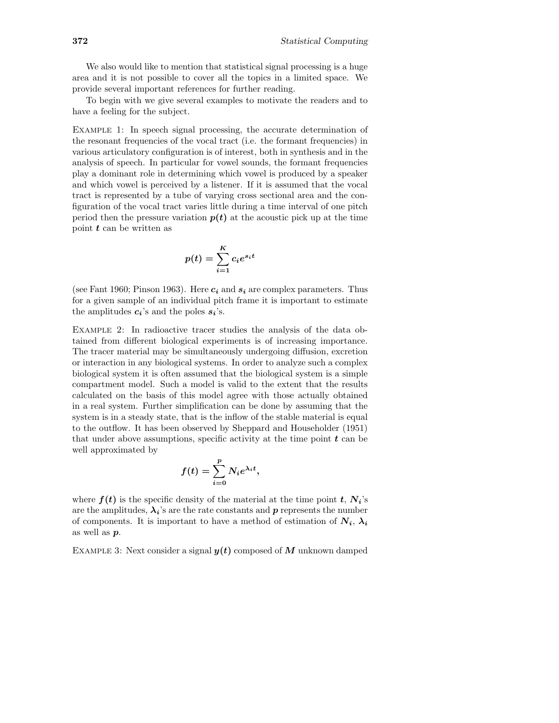We also would like to mention that statistical signal processing is a huge area and it is not possible to cover all the topics in a limited space. We provide several important references for further reading.

To begin with we give several examples to motivate the readers and to have a feeling for the subject.

Example 1: In speech signal processing, the accurate determination of the resonant frequencies of the vocal tract (i.e. the formant frequencies) in various articulatory configuration is of interest, both in synthesis and in the analysis of speech. In particular for vowel sounds, the formant frequencies play a dominant role in determining which vowel is produced by a speaker and which vowel is perceived by a listener. If it is assumed that the vocal tract is represented by a tube of varying cross sectional area and the configuration of the vocal tract varies little during a time interval of one pitch period then the pressure variation  $p(t)$  at the acoustic pick up at the time point  $t$  can be written as

$$
p(t) = \sum_{i=1}^{K} c_i e^{s_i t}
$$

(see Fant 1960; Pinson 1963). Here  $c_i$  and  $s_i$  are complex parameters. Thus for a given sample of an individual pitch frame it is important to estimate the amplitudes  $c_i$ 's and the poles  $s_i$ 's.

Example 2: In radioactive tracer studies the analysis of the data obtained from different biological experiments is of increasing importance. The tracer material may be simultaneously undergoing diffusion, excretion or interaction in any biological systems. In order to analyze such a complex biological system it is often assumed that the biological system is a simple compartment model. Such a model is valid to the extent that the results calculated on the basis of this model agree with those actually obtained in a real system. Further simplification can be done by assuming that the system is in a steady state, that is the inflow of the stable material is equal to the outflow. It has been observed by Sheppard and Householder (1951) that under above assumptions, specific activity at the time point  $t$  can be well approximated by

$$
f(t) = \sum_{i=0}^{p} N_i e^{\lambda_i t},
$$

where  $f(t)$  is the specific density of the material at the time point t,  $N_i$ 's are the amplitudes,  $\lambda_i$ 's are the rate constants and p represents the number of components. It is important to have a method of estimation of  $N_i$ ,  $\lambda_i$ as well as p.

EXAMPLE 3: Next consider a signal  $y(t)$  composed of M unknown damped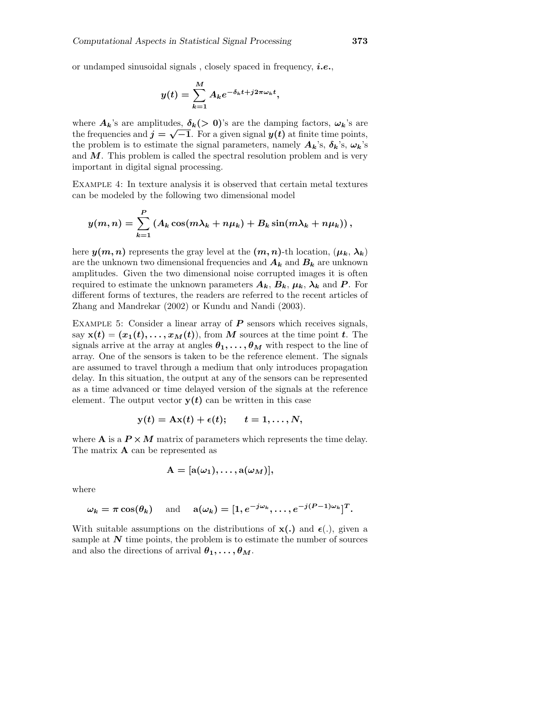$$
y(t) = \sum_{k=1}^{M} A_k e^{-\delta_k t + j2\pi \omega_k t},
$$

where  $A_k$ 's are amplitudes,  $\delta_k$ (> 0)'s are the damping factors,  $\omega_k$ 's are the frequencies and  $j = \sqrt{-1}$ . For a given signal  $y(t)$  at finite time points, the problem is to estimate the signal parameters, namely  $A_k$ 's,  $\delta_k$ 's,  $\omega_k$ 's and  $M$ . This problem is called the spectral resolution problem and is very important in digital signal processing.

Example 4: In texture analysis it is observed that certain metal textures can be modeled by the following two dimensional model

$$
y(m,n) = \sum_{k=1}^{P} (A_k \cos(m\lambda_k + n\mu_k) + B_k \sin(m\lambda_k + n\mu_k)),
$$

here  $y(m, n)$  represents the gray level at the  $(m, n)$ -th location,  $(\mu_k, \lambda_k)$ are the unknown two dimensional frequencies and  $A_k$  and  $B_k$  are unknown amplitudes. Given the two dimensional noise corrupted images it is often required to estimate the unknown parameters  $A_k$ ,  $B_k$ ,  $\mu_k$ ,  $\lambda_k$  and P. For different forms of textures, the readers are referred to the recent articles of Zhang and Mandrekar (2002) or Kundu and Nandi (2003).

EXAMPLE 5: Consider a linear array of  $P$  sensors which receives signals, say  $\mathbf{x}(t) = (x_1(t), \dots, x_M(t))$ , from M sources at the time point t. The signals arrive at the array at angles  $\theta_1, \ldots, \theta_M$  with respect to the line of array. One of the sensors is taken to be the reference element. The signals are assumed to travel through a medium that only introduces propagation delay. In this situation, the output at any of the sensors can be represented as a time advanced or time delayed version of the signals at the reference element. The output vector  $y(t)$  can be written in this case

$$
y(t) = Ax(t) + \epsilon(t); \quad t = 1, \ldots, N,
$$

where **A** is a  $P \times M$  matrix of parameters which represents the time delay. The matrix A can be represented as

$$
\mathbf{A} = [\mathbf{a}(\omega_1), \ldots, \mathbf{a}(\omega_M)],
$$

where

$$
\omega_k = \pi \cos(\theta_k) \quad \text{ and } \quad \mathbf{a}(\omega_k) = [1, e^{-j\omega_k}, \dots, e^{-j(P-1)\omega_k}]^T.
$$

With suitable assumptions on the distributions of  $x(.)$  and  $\epsilon(.)$ , given a sample at  $N$  time points, the problem is to estimate the number of sources and also the directions of arrival  $\theta_1, \ldots, \theta_M$ .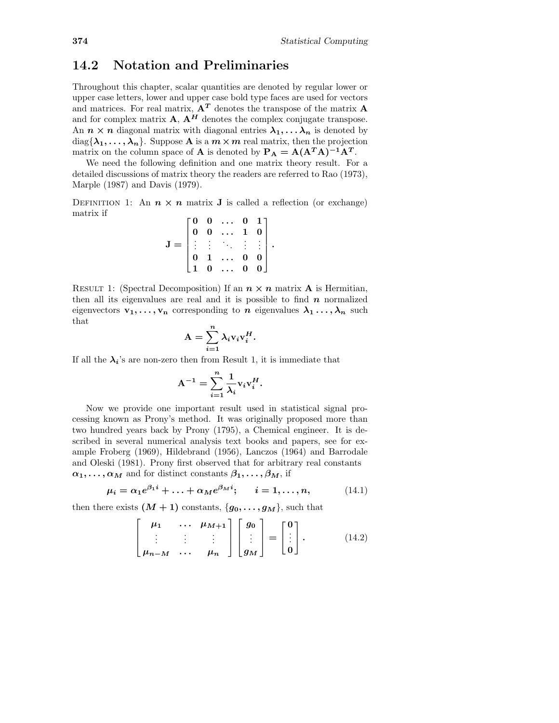## 14.2 Notation and Preliminaries

Throughout this chapter, scalar quantities are denoted by regular lower or upper case letters, lower and upper case bold type faces are used for vectors and matrices. For real matrix,  $\mathbf{A}^T$  denotes the transpose of the matrix  $\mathbf{A}$ and for complex matrix  $\mathbf{A}, \mathbf{A}^H$  denotes the complex conjugate transpose. An  $n \times n$  diagonal matrix with diagonal entries  $\lambda_1, \ldots, \lambda_n$  is denoted by  $diag{\lambda_1, \ldots, \lambda_n}$ . Suppose **A** is a  $m \times m$  real matrix, then the projection matrix on the column space of **A** is denoted by  $P_A = A(A^T A)^{-1} A^T$ .

We need the following definition and one matrix theory result. For a detailed discussions of matrix theory the readers are referred to Rao (1973), Marple (1987) and Davis (1979).

DEFINITION 1: An  $n \times n$  matrix **J** is called a reflection (or exchange) matrix if  $\overline{a}$  $\overline{1}$ 

| $\begin{matrix} 0 \ 0 \end{matrix}$ |                                                                                                     | $\bf{0}$     |                                        |  |
|-------------------------------------|-----------------------------------------------------------------------------------------------------|--------------|----------------------------------------|--|
|                                     | $\begin{matrix} 0 & \dots \\ 0 & \dots \end{matrix}$                                                | $\mathbf{1}$ |                                        |  |
|                                     | <b>医主日</b><br>$\begin{array}{c} \vdots & \vdots & \ddots \\ & 1 & \dots \\ & 0 & \dots \end{array}$ |              |                                        |  |
|                                     |                                                                                                     | $\bf{0}$     | $\begin{bmatrix} 0 \\ 0 \end{bmatrix}$ |  |
|                                     |                                                                                                     |              |                                        |  |

RESULT 1: (Spectral Decomposition) If an  $n \times n$  matrix **A** is Hermitian, then all its eigenvalues are real and it is possible to find  $n$  normalized eigenvectors  $v_1, \ldots, v_n$  corresponding to n eigenvalues  $\lambda_1 \ldots, \lambda_n$  such that

$$
A = \sum_{i=1}^{n} \lambda_i v_i v_i^H.
$$

If all the  $\lambda_i$ 's are non-zero then from Result 1, it is immediate that

$$
A^{-1} = \sum_{i=1}^{n} \frac{1}{\lambda_i} v_i v_i^H.
$$

Now we provide one important result used in statistical signal processing known as Prony's method. It was originally proposed more than two hundred years back by Prony (1795), a Chemical engineer. It is described in several numerical analysis text books and papers, see for example Froberg (1969), Hildebrand (1956), Lanczos (1964) and Barrodale and Oleski (1981). Prony first observed that for arbitrary real constants  $\alpha_1, \ldots, \alpha_M$  and for distinct constants  $\beta_1, \ldots, \beta_M$ , if

$$
\mu_i = \alpha_1 e^{\beta_1 i} + \ldots + \alpha_M e^{\beta_M i}; \qquad i = 1, \ldots, n,
$$
 (14.1)

then there exists  $(M + 1)$  constants,  $\{g_0, \ldots, g_M\}$ , such that

$$
\begin{bmatrix} \mu_1 & \cdots & \mu_{M+1} \\ \vdots & \vdots & \vdots \\ \mu_{n-M} & \cdots & \mu_n \end{bmatrix} \begin{bmatrix} g_0 \\ \vdots \\ g_M \end{bmatrix} = \begin{bmatrix} 0 \\ \vdots \\ 0 \end{bmatrix}.
$$
 (14.2)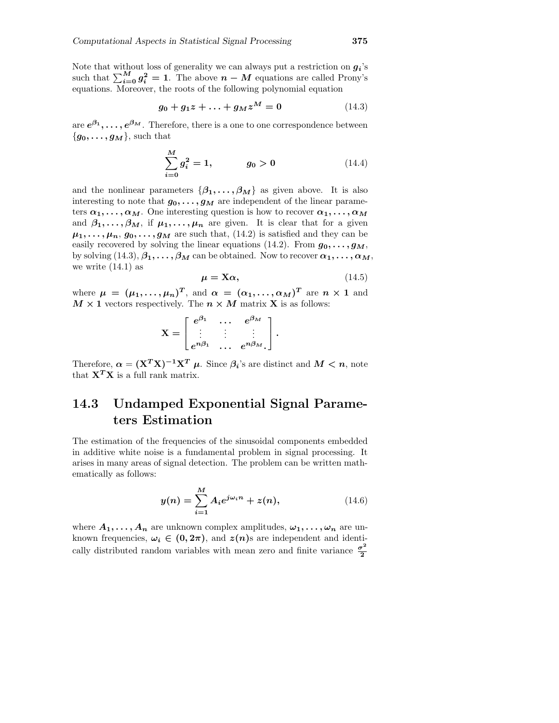Note that without loss of generality we can always put a restriction on  $q_i$ 's such that  $\sum_{i=0}^{M} g_i^2 = 1$ . The above  $n - M$  equations are called Prony's equations. Moreover, the roots of the following polynomial equation

$$
g_0 + g_1 z + \ldots + g_M z^M = 0 \tag{14.3}
$$

are  $e^{\beta_1}, \ldots, e^{\beta_M}$  . Therefore, there is a one to one correspondence between  ${g_0, \ldots, g_M}$ , such that

$$
\sum_{i=0}^{M} g_i^2 = 1, \qquad g_0 > 0 \qquad (14.4)
$$

and the nonlinear parameters  $\{\beta_1, \ldots, \beta_M\}$  as given above. It is also interesting to note that  $g_0, \ldots, g_M$  are independent of the linear parameters  $\alpha_1, \ldots, \alpha_M$ . One interesting question is how to recover  $\alpha_1, \ldots, \alpha_M$ and  $\beta_1, \ldots, \beta_M$ , if  $\mu_1, \ldots, \mu_n$  are given. It is clear that for a given  $\mu_1, \ldots, \mu_n, g_0, \ldots, g_M$  are such that, (14.2) is satisfied and they can be easily recovered by solving the linear equations (14.2). From  $g_0, \ldots, g_M$ , by solving  $(14.3), \beta_1, \ldots, \beta_M$  can be obtained. Now to recover  $\alpha_1, \ldots, \alpha_M$ , we write  $(14.1)$  as

$$
\mu = X\alpha, \qquad (14.5)
$$

where  $\mu = (\mu_1, \ldots, \mu_n)^T$ , and  $\alpha = (\alpha_1, \ldots, \alpha_M)^T$  are  $n \times 1$  and  $M \times 1$  vectors respectively. The  $n \times M$  matrix **X** is as follows:

$$
\mathbf{X} = \begin{bmatrix} e^{\beta_1} & \cdots & e^{\beta_M} \\ \vdots & \vdots & \vdots \\ e^{n\beta_1} & \cdots & e^{n\beta_M} \end{bmatrix}.
$$

Therefore,  $\alpha = (X^T X)^{-1} X^T \mu$ . Since  $\beta_i$ 's are distinct and  $M < n$ , note that  $X^T X$  is a full rank matrix.

## 14.3 Undamped Exponential Signal Parameters Estimation

The estimation of the frequencies of the sinusoidal components embedded in additive white noise is a fundamental problem in signal processing. It arises in many areas of signal detection. The problem can be written mathematically as follows:

$$
y(n) = \sum_{i=1}^{M} A_i e^{j\omega_i n} + z(n),
$$
 (14.6)

where  $A_1, \ldots, A_n$  are unknown complex amplitudes,  $\omega_1, \ldots, \omega_n$  are unknown frequencies,  $\omega_i \in (0, 2\pi)$ , and  $z(n)$ s are independent and identically distributed random variables with mean zero and finite variance  $\frac{\sigma^2}{2}$ 2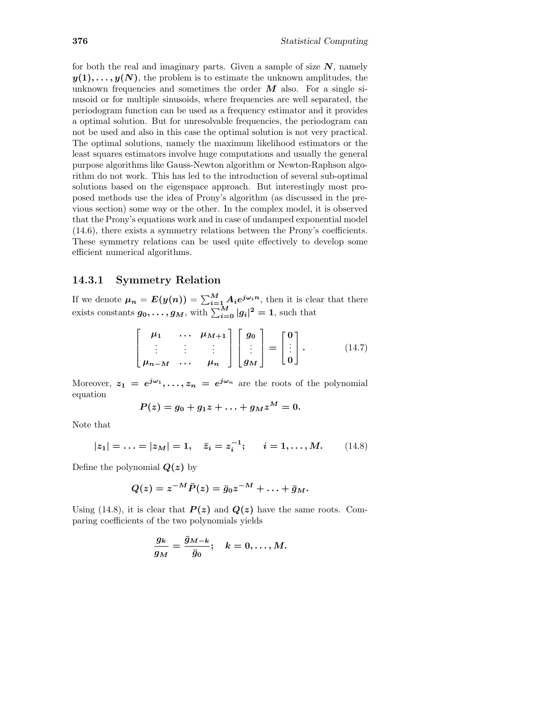for both the real and imaginary parts. Given a sample of size  $N$ , namely  $y(1), \ldots, y(N)$ , the problem is to estimate the unknown amplitudes, the unknown frequencies and sometimes the order  $M$  also. For a single sinusoid or for multiple sinusoids, where frequencies are well separated, the periodogram function can be used as a frequency estimator and it provides a optimal solution. But for unresolvable frequencies, the periodogram can not be used and also in this case the optimal solution is not very practical. The optimal solutions, namely the maximum likelihood estimators or the least squares estimators involve huge computations and usually the general purpose algorithms like Gauss-Newton algorithm or Newton-Raphson algorithm do not work. This has led to the introduction of several sub-optimal solutions based on the eigenspace approach. But interestingly most proposed methods use the idea of Prony's algorithm (as discussed in the previous section) some way or the other. In the complex model, it is observed that the Prony's equations work and in case of undamped exponential model (14.6), there exists a symmetry relations between the Prony's coefficients. These symmetry relations can be used quite effectively to develop some efficient numerical algorithms.

#### 14.3.1 Symmetry Relation

If we denote  $\mu_n = E(y(n)) = \sum_{i=1}^M A_i e^{j\omega_i n}$ , then it is clear that there exists constants  $g_0, \ldots, g_M$ , with  $\sum_{i=0}^M |g_i|^2 = 1$ , such that

$$
\begin{bmatrix} \mu_1 & \cdots & \mu_{M+1} \\ \vdots & \vdots & \vdots \\ \mu_{n-M} & \cdots & \mu_n \end{bmatrix} \begin{bmatrix} g_0 \\ \vdots \\ g_M \end{bmatrix} = \begin{bmatrix} 0 \\ \vdots \\ 0 \end{bmatrix}.
$$
 (14.7)

Moreover,  $z_1 = e^{j\omega_1}, \ldots, z_n = e^{j\omega_n}$  are the roots of the polynomial equation

$$
P(z)=g_0+g_1z+\ldots+g_Mz^M=0.
$$

Note that

$$
|z_1| = \ldots = |z_M| = 1, \quad \bar{z}_i = z_i^{-1}; \qquad i = 1, \ldots, M. \tag{14.8}
$$

Define the polynomial  $Q(z)$  by

$$
Q(z)=z^{-M}\bar{P}(z)=\bar{g}_0z^{-M}+\ldots+\bar{g}_M.
$$

Using (14.8), it is clear that  $P(z)$  and  $Q(z)$  have the same roots. Comparing coefficients of the two polynomials yields

$$
\frac{g_k}{g_M}=\frac{\bar{g}_{M-k}}{\bar{g}_0};\quad k=0,\ldots,M.
$$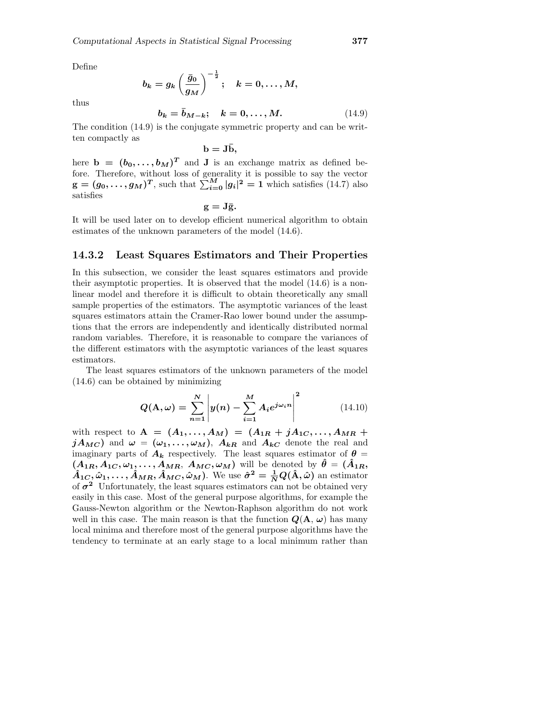Define

$$
b_k=g_k\left(\frac{\bar{g}_0}{g_M}\right)^{-\frac{1}{2}}; \quad k=0,\ldots,M,
$$

thus

$$
b_k = \bar{b}_{M-k}; \quad k = 0, \dots, M. \tag{14.9}
$$

The condition (14.9) is the conjugate symmetric property and can be written compactly as

 $\mathbf{b} = \mathbf{J}\bar{\mathbf{b}},$ 

here  $\mathbf{b} = (b_0, \ldots, b_M)^T$  and **J** is an exchange matrix as defined before. Therefore, without loss of generality it is possible to say the vector  $g = (g_0, \ldots, g_M)^T$ , such that  $\sum_{i=0}^{M} |g_i|^2 = 1$  which satisfies (14.7) also satisfies

 $g = J\overline{g}$ .

It will be used later on to develop efficient numerical algorithm to obtain estimates of the unknown parameters of the model (14.6).

#### 14.3.2 Least Squares Estimators and Their Properties

In this subsection, we consider the least squares estimators and provide their asymptotic properties. It is observed that the model (14.6) is a nonlinear model and therefore it is difficult to obtain theoretically any small sample properties of the estimators. The asymptotic variances of the least squares estimators attain the Cramer-Rao lower bound under the assumptions that the errors are independently and identically distributed normal random variables. Therefore, it is reasonable to compare the variances of the different estimators with the asymptotic variances of the least squares estimators.

The least squares estimators of the unknown parameters of the model (14.6) can be obtained by minimizing

$$
Q(\mathbf{A}, \omega) = \sum_{n=1}^{N} \left| y(n) - \sum_{i=1}^{M} A_i e^{j\omega_i n} \right|^2
$$
 (14.10)

with respect to  $A = (A_1, ..., A_M) = (A_{1R} + jA_{1C}, ..., A_{MR} + jA_{1C})$  $jA_{MC}$ ) and  $\omega = (\omega_1, \ldots, \omega_M)$ ,  $A_{kR}$  and  $A_{kC}$  denote the real and imaginary parts of  $A_k$  respectively. The least squares estimator of  $\theta =$  $(A_{1R}, A_{1C}, \omega_{1}, \ldots, A_{MR}, A_{MC}, \omega_{M})$  will be denoted by  $\hat{\theta} = (\hat{A}_{1R}, \hat{A}_{1C}, \omega_{1R})$  $\hat{A}_{1C}$ ,  $\hat{\omega}_1, \ldots, \hat{A}_{MR}, \hat{A}_{MC}, \hat{\omega}_M$ ). We use  $\hat{\sigma}^2 = \frac{1}{N} Q(\hat{\mathbf{A}}, \hat{\omega})$  an estimator of  $\sigma^2$  Unfortunately, the least squares estimators can not be obtained very easily in this case. Most of the general purpose algorithms, for example the Gauss-Newton algorithm or the Newton-Raphson algorithm do not work well in this case. The main reason is that the function  $Q(\mathbf{A}, \omega)$  has many local minima and therefore most of the general purpose algorithms have the tendency to terminate at an early stage to a local minimum rather than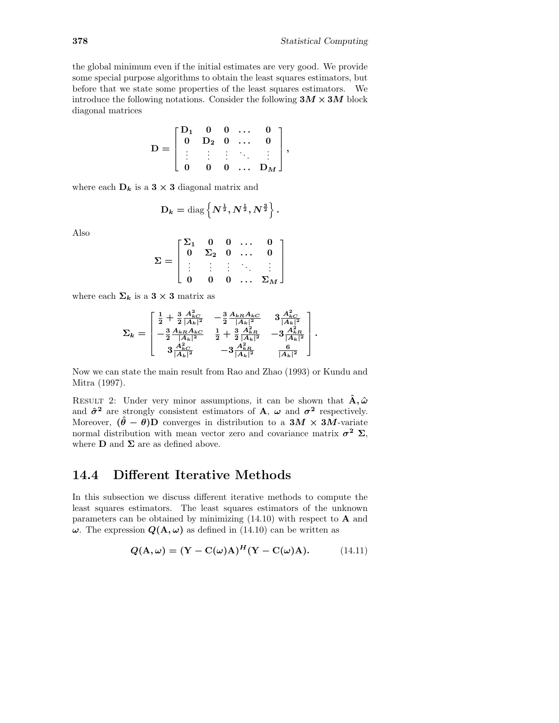the global minimum even if the initial estimates are very good. We provide some special purpose algorithms to obtain the least squares estimators, but before that we state some properties of the least squares estimators. We introduce the following notations. Consider the following  $3M \times 3M$  block diagonal matrices

$$
D = \begin{bmatrix} D_1 & 0 & 0 & \dots & 0 \\ 0 & D_2 & 0 & \dots & 0 \\ \vdots & \vdots & \vdots & \ddots & \vdots \\ 0 & 0 & 0 & \dots & D_M \end{bmatrix},
$$

where each  $D_k$  is a  $3 \times 3$  diagonal matrix and

$$
\mathbf{D}_k = \text{diag}\left\{N^{\frac{1}{2}}, N^{\frac{1}{2}}, N^{\frac{3}{2}}\right\}.
$$

Also

$$
\Sigma = \begin{bmatrix} \Sigma_1 & 0 & 0 & \dots & 0 \\ 0 & \Sigma_2 & 0 & \dots & 0 \\ \vdots & \vdots & \vdots & \ddots & \vdots \\ 0 & 0 & 0 & \dots & \Sigma_M \end{bmatrix}
$$

where each  $\Sigma_k$  is a 3 × 3 matrix as

$$
\Sigma_k = \left[\begin{matrix} \frac{1}{2}+\frac{3}{2}\frac{A_{kC}^2}{|A_k|^2} & -\frac{3}{2}\frac{A_{kR}A_{kC}}{|A_k|^2} & 3\frac{A_{kC}^2}{|A_k|^2} \\ -\frac{3}{2}\frac{A_{kR}A_{kC}}{|A_k|^2} & \frac{1}{2}+\frac{3}{2}\frac{A_{kR}^2}{|A_k|^2} & -3\frac{A_{kR}^2}{|A_k|^2} \\ 3\frac{A_{kC}^2}{|A_k|^2} & -3\frac{A_{kR}^2}{|A_k|^2} & \frac{6}{|A_k|^2} \end{matrix}\right].
$$

Now we can state the main result from Rao and Zhao (1993) or Kundu and Mitra (1997).

RESULT 2: Under very minor assumptions, it can be shown that  $\hat{\mathbf{A}}, \hat{\boldsymbol{\omega}}$ and  $\hat{\sigma}^2$  are strongly consistent estimators of **A**,  $\omega$  and  $\sigma^2$  respectively. Moreover,  $(\hat{\theta} - \theta)$ D converges in distribution to a 3*M* × 3*M*-variate normal distribution with mean vector zero and covariance matrix  $\sigma^2 \Sigma$ , where  $\bf{D}$  and  $\bf{\Sigma}$  are as defined above.

### 14.4 Different Iterative Methods

In this subsection we discuss different iterative methods to compute the least squares estimators. The least squares estimators of the unknown parameters can be obtained by minimizing  $(14.10)$  with respect to **A** and  $\omega$ . The expression  $Q(A, \omega)$  as defined in (14.10) can be written as

$$
Q(\mathbf{A}, \omega) = (\mathbf{Y} - \mathbf{C}(\omega)\mathbf{A})^{H} (\mathbf{Y} - \mathbf{C}(\omega)\mathbf{A}).
$$
 (14.11)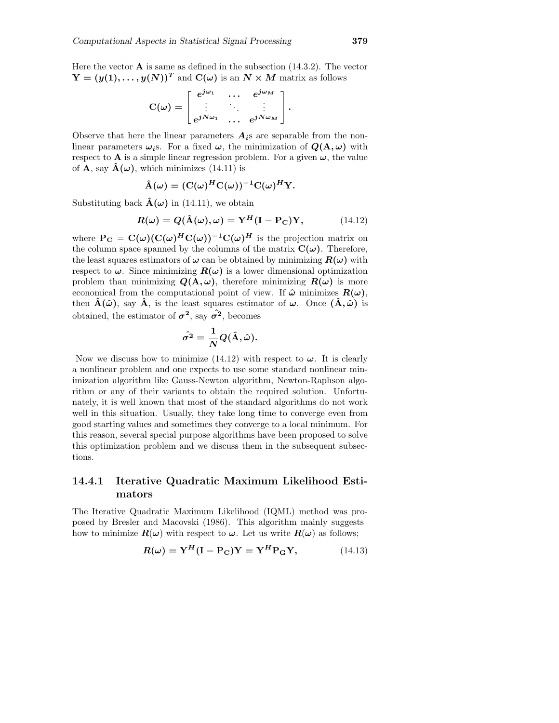Here the vector  $\bf{A}$  is same as defined in the subsection (14.3.2). The vector  $Y = (y(1), \ldots, y(N))^T$  and  $C(\omega)$  is an  $N \times M$  matrix as follows

$$
C(\omega) = \begin{bmatrix} e^{j\omega_1} & \cdots & e^{j\omega_M} \\ \vdots & \ddots & \vdots \\ e^{jN\omega_1} & \cdots & e^{jN\omega_M} \end{bmatrix}.
$$

Observe that here the linear parameters  $A_i$ s are separable from the nonlinear parameters  $\omega_i$ s. For a fixed  $\omega$ , the minimization of  $Q(\mathbf{A}, \omega)$  with respect to **A** is a simple linear regression problem. For a given  $\omega$ , the value of **A**, say  $\mathbf{A}(\omega)$ , which minimizes (14.11) is

$$
\hat{A}(\omega) = (C(\omega)^H C(\omega))^{-1} C(\omega)^H Y.
$$

Substituting back  $\hat{A}(\omega)$  in (14.11), we obtain

$$
R(\omega) = Q(\hat{\mathbf{A}}(\omega), \omega) = \mathbf{Y}^{H}(\mathbf{I} - \mathbf{P}_{\mathbf{C}})\mathbf{Y},
$$
 (14.12)

where  $P_C = C(\omega)(C(\omega)^H C(\omega))^{-1}C(\omega)^H$  is the projection matrix on the column space spanned by the columns of the matrix  $C(\omega)$ . Therefore, the least squares estimators of  $\omega$  can be obtained by minimizing  $R(\omega)$  with respect to  $\omega$ . Since minimizing  $R(\omega)$  is a lower dimensional optimization problem than minimizing  $Q(A, \omega)$ , therefore minimizing  $R(\omega)$  is more economical from the computational point of view. If  $\hat{\omega}$  minimizes  $R(\omega)$ , then  $\hat{A}(\hat{\omega})$ , say  $\hat{A}$ , is the least squares estimator of  $\omega$ . Once  $(\hat{A}, \hat{\omega})$  is obtained, the estimator of  $\sigma^2$ , say  $\hat{\sigma^2}$ , becomes

$$
\hat{\sigma^2} = \frac{1}{N} Q(\hat{\mathrm{A}},\hat{\omega}).
$$

Now we discuss how to minimize (14.12) with respect to  $\omega$ . It is clearly a nonlinear problem and one expects to use some standard nonlinear minimization algorithm like Gauss-Newton algorithm, Newton-Raphson algorithm or any of their variants to obtain the required solution. Unfortunately, it is well known that most of the standard algorithms do not work well in this situation. Usually, they take long time to converge even from good starting values and sometimes they converge to a local minimum. For this reason, several special purpose algorithms have been proposed to solve this optimization problem and we discuss them in the subsequent subsections.

### 14.4.1 Iterative Quadratic Maximum Likelihood Estimators

The Iterative Quadratic Maximum Likelihood (IQML) method was proposed by Bresler and Macovski (1986). This algorithm mainly suggests how to minimize  $R(\omega)$  with respect to  $\omega$ . Let us write  $R(\omega)$  as follows;

$$
R(\omega) = \mathbf{Y}^{H}(\mathbf{I} - \mathbf{P}_{\mathbf{C}})\mathbf{Y} = \mathbf{Y}^{H}\mathbf{P}_{\mathbf{G}}\mathbf{Y},\tag{14.13}
$$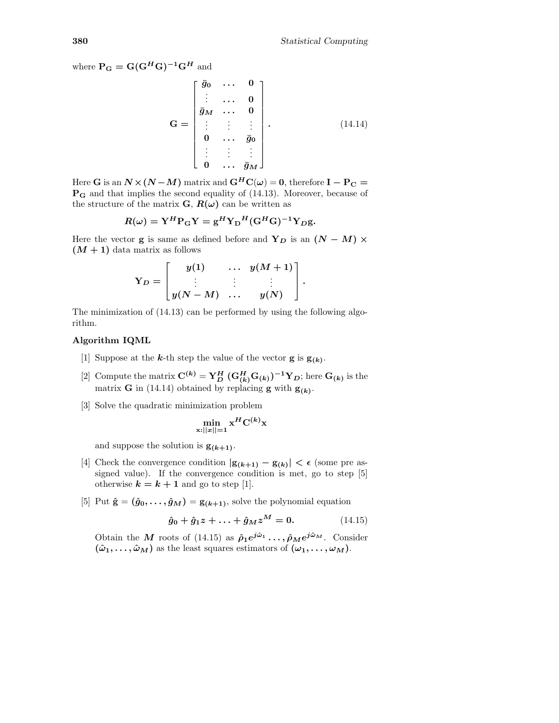where  $P_G = G(G^H G)^{-1} G^H$  and

$$
\mathbf{G} = \begin{bmatrix} \bar{g}_0 & \cdots & 0 \\ \vdots & \cdots & 0 \\ \bar{g}_M & \cdots & 0 \\ \vdots & \vdots & \vdots \\ 0 & \cdots & \bar{g}_0 \\ \vdots & \vdots & \vdots \\ 0 & \cdots & \bar{g}_M \end{bmatrix} .
$$
 (14.14)

Here G is an  $N \times (N - M)$  matrix and  $G^H C(\omega) = 0$ , therefore  $I - P_C =$  $\mathbf{P}_{\mathbf{G}}$  and that implies the second equality of (14.13). Moreover, because of the structure of the matrix  $\mathbf{G}, \mathbf{R}(\omega)$  can be written as

$$
R(\omega) = \mathbf{Y}^H \mathbf{P}_{\mathbf{G}} \mathbf{Y} = \mathbf{g}^H \mathbf{Y}_{\mathbf{D}}^H (\mathbf{G}^H \mathbf{G})^{-1} \mathbf{Y}_{D} \mathbf{g}.
$$

Here the vector **g** is same as defined before and  $Y_D$  is an  $(N - M) \times$  $(M + 1)$  data matrix as follows

$$
\mathrm{Y}_D = \begin{bmatrix} y(1) & \ldots & y(M+1) \\ \vdots & \vdots & \vdots \\ y(N-M) & \ldots & y(N) \end{bmatrix}.
$$

The minimization of (14.13) can be performed by using the following algorithm.

#### Algorithm IQML

- [1] Suppose at the **k**-th step the value of the vector **g** is  $\mathbf{g}_{(k)}$ .
- [2] Compute the matrix  $\mathbf{C}^{(k)} = \mathbf{Y}_{D}^{H} (\mathbf{G}_{(k)}^{H} \mathbf{G}_{(k)})^{-1} \mathbf{Y}_{D}$ ; here  $\mathbf{G}_{(k)}$  is the matrix **G** in (14.14) obtained by replacing **g** with  $\mathbf{g}_{(k)}$ .
- [3] Solve the quadratic minimization problem

$$
\min_{\mathbf{x}:||\mathbf{x}||=1} \mathbf{x}^H \mathbf{C}^{(k)} \mathbf{x}
$$

and suppose the solution is  $g_{(k+1)}$ .

- [4] Check the convergence condition  $|\mathbf{g}_{(k+1)} \mathbf{g}_{(k)}| < \epsilon$  (some pre assigned value). If the convergence condition is met, go to step [5] otherwise  $k = k + 1$  and go to step [1].
- [5] Put  $\hat{\mathbf{g}} = (\hat{g}_0, \dots, \hat{g}_M) = \mathbf{g}_{(k+1)}$ , solve the polynomial equation

$$
\hat{g}_0 + \hat{g}_1 z + \ldots + \hat{g}_M z^M = 0.
$$
 (14.15)

Obtain the M roots of (14.15) as  $\hat{\rho}_1 e^{j\hat{\omega}_1} \cdots, \hat{\rho}_M e^{j\hat{\omega}_M}$ . Consider  $(\hat{\omega}_1, \ldots, \hat{\omega}_M)$  as the least squares estimators of  $(\omega_1, \ldots, \omega_M)$ .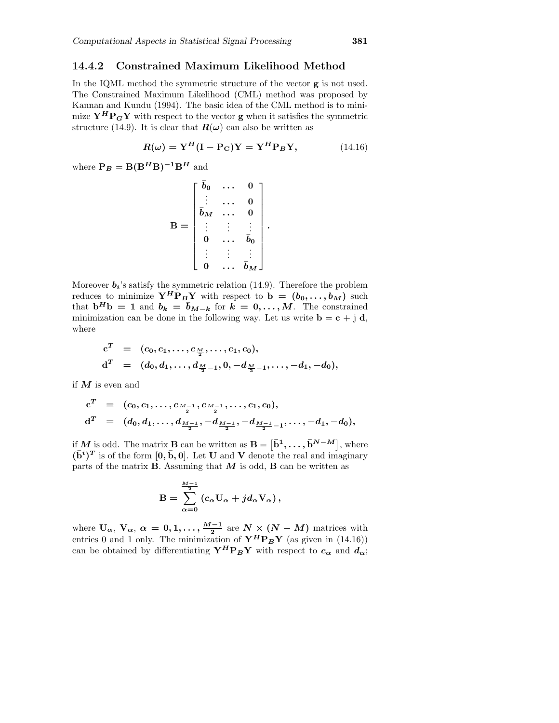#### 14.4.2 Constrained Maximum Likelihood Method

In the IQML method the symmetric structure of the vector g is not used. The Constrained Maximum Likelihood (CML) method was proposed by Kannan and Kundu (1994). The basic idea of the CML method is to minimize  $Y^H P_G Y$  with respect to the vector g when it satisfies the symmetric structure (14.9). It is clear that  $\mathbf{R}(\omega)$  can also be written as

$$
R(\omega) = \mathbf{Y}^{H}(\mathbf{I} - \mathbf{P}_{\mathbf{C}})\mathbf{Y} = \mathbf{Y}^{H}\mathbf{P}_{B}\mathbf{Y},\tag{14.16}
$$

.

where  $P_B = B(B^H B)^{-1}B^H$  and

$$
\mathbf{B} = \begin{bmatrix} \bar{b}_0 & \cdots & 0 \\ \vdots & \cdots & 0 \\ \bar{b}_M & \cdots & 0 \\ \vdots & \vdots & \vdots \\ 0 & \cdots & \bar{b}_0 \\ \vdots & \vdots & \vdots \\ 0 & \cdots & \bar{b}_M \end{bmatrix}
$$

Moreover  $b_i$ 's satisfy the symmetric relation (14.9). Therefore the problem reduces to minimize  $Y^H P_B Y$  with respect to  $\mathbf{b} = (b_0, \ldots, b_M)$  such that  $\mathbf{b}^H \mathbf{b} = 1$  and  $b_k = \bar{b}_{M-k}$  for  $k = 0, \ldots, M$ . The constrained minimization can be done in the following way. Let us write  $\mathbf{b} = \mathbf{c} + \mathbf{j} \mathbf{d}$ , where

$$
c^T = (c_0, c_1, \ldots, c_{\frac{M}{2}}, \ldots, c_1, c_0),
$$
  
\n
$$
d^T = (d_0, d_1, \ldots, d_{\frac{M}{2}-1}, 0, -d_{\frac{M}{2}-1}, \ldots, -d_1, -d_0),
$$

if  $M$  is even and

$$
c^T = (c_0, c_1, \ldots, c_{\frac{M-1}{2}}, c_{\frac{M-1}{2}}, \ldots, c_1, c_0),
$$
  
\n
$$
d^T = (d_0, d_1, \ldots, d_{\frac{M-1}{2}}, -d_{\frac{M-1}{2}}, -d_{\frac{M-1}{2}-1}, \ldots, -d_1, -d_0),
$$

if M is odd. The matrix **B** can be written as  $\mathbf{B} = [\mathbf{\bar{b}}^1, \dots, \mathbf{\bar{b}}^{N-M}],$  where  $(\bar{\mathbf{b}}^{i})^T$  is of the form  $[0, \bar{b}, 0]$ . Let U and V denote the real and imaginary parts of the matrix  $B$ . Assuming that  $M$  is odd,  $B$  can be written as

$$
\mathbf{B} = \sum_{\alpha=0}^{\frac{M-1}{2}} \left( c_{\alpha} \mathbf{U}_{\alpha} + j d_{\alpha} \mathbf{V}_{\alpha} \right),
$$

where  $U_{\alpha}$ ,  $V_{\alpha}$ ,  $\alpha = 0, 1, \ldots, \frac{M-1}{2}$  are  $N \times (N-M)$  matrices with entries 0 and 1 only. The minimization of  $\mathbf{Y}^H \mathbf{P}_B \mathbf{Y}$  (as given in (14.16)) can be obtained by differentiating  $\mathbf{Y}^H \mathbf{P}_B \mathbf{Y}$  with respect to  $c_{\alpha}$  and  $d_{\alpha}$ ;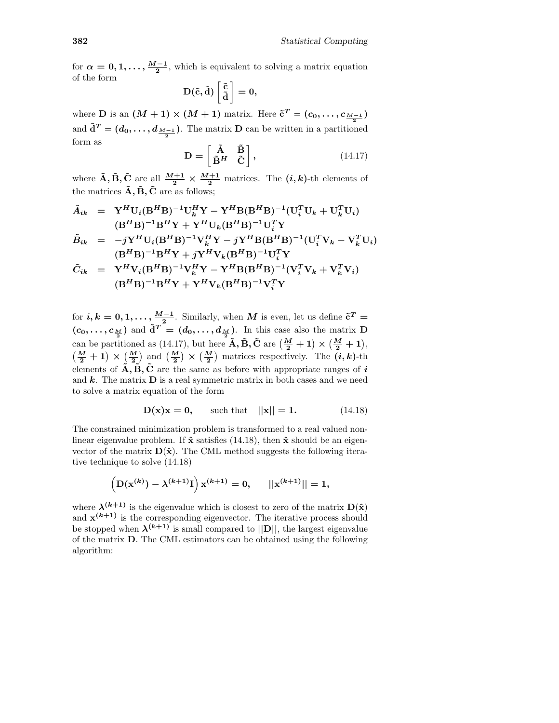for  $\alpha = 0, 1, \ldots, \frac{M-1}{2}$ , which is equivalent to solving a matrix equation of the form

$$
D(\tilde{c},\tilde{d})\left[\frac{\tilde{c}}{\tilde{d}}\right]=0,
$$

where **D** is an  $(M + 1) \times (M + 1)$  matrix. Here  $\tilde{\mathbf{c}}^T = (c_0, \ldots, c_{\frac{M-1}{2}})$ and  $\tilde{\mathbf{d}}^T = (d_0, \ldots, d_{\frac{M-1}{2}})$ . The matrix **D** can be written in a partitioned form as

$$
\mathbf{D} = \begin{bmatrix} \tilde{\mathbf{A}} & \tilde{\mathbf{B}} \\ \tilde{\mathbf{B}}^H & \tilde{\mathbf{C}} \end{bmatrix},\tag{14.17}
$$

where  $\tilde{A}$ ,  $\tilde{B}$ ,  $\tilde{C}$  are all  $\frac{M+1}{2} \times \frac{M+1}{2}$  matrices. The  $(i, k)$ -th elements of the matrices  $\tilde{\mathbf{A}}, \tilde{\mathbf{B}}, \tilde{\mathbf{C}}$  are as follows;

$$
\tilde{A}_{ik} = \mathbf{Y}^{H} \mathbf{U}_{i} (\mathbf{B}^{H} \mathbf{B})^{-1} \mathbf{U}_{k}^{H} \mathbf{Y} - \mathbf{Y}^{H} \mathbf{B} (\mathbf{B}^{H} \mathbf{B})^{-1} (\mathbf{U}_{i}^{T} \mathbf{U}_{k} + \mathbf{U}_{k}^{T} \mathbf{U}_{i})
$$
\n
$$
(\mathbf{B}^{H} \mathbf{B})^{-1} \mathbf{B}^{H} \mathbf{Y} + \mathbf{Y}^{H} \mathbf{U}_{k} (\mathbf{B}^{H} \mathbf{B})^{-1} \mathbf{U}_{i}^{T} \mathbf{Y}
$$
\n
$$
\tilde{B}_{ik} = -j \mathbf{Y}^{H} \mathbf{U}_{i} (\mathbf{B}^{H} \mathbf{B})^{-1} \mathbf{V}_{k}^{H} \mathbf{Y} - j \mathbf{Y}^{H} \mathbf{B} (\mathbf{B}^{H} \mathbf{B})^{-1} (\mathbf{U}_{i}^{T} \mathbf{V}_{k} - \mathbf{V}_{k}^{T} \mathbf{U}_{i})
$$
\n
$$
(\mathbf{B}^{H} \mathbf{B})^{-1} \mathbf{B}^{H} \mathbf{Y} + j \mathbf{Y}^{H} \mathbf{V}_{k} (\mathbf{B}^{H} \mathbf{B})^{-1} \mathbf{U}_{i}^{T} \mathbf{Y}
$$
\n
$$
\tilde{C}_{ik} = \mathbf{Y}^{H} \mathbf{V}_{i} (\mathbf{B}^{H} \mathbf{B})^{-1} \mathbf{V}_{k}^{H} \mathbf{Y} - \mathbf{Y}^{H} \mathbf{B} (\mathbf{B}^{H} \mathbf{B})^{-1} (\mathbf{V}_{i}^{T} \mathbf{V}_{k} + \mathbf{V}_{k}^{T} \mathbf{V}_{i})
$$
\n
$$
(\mathbf{B}^{H} \mathbf{B})^{-1} \mathbf{B}^{H} \mathbf{Y} + \mathbf{Y}^{H} \mathbf{V}_{k} (\mathbf{B}^{H} \mathbf{B})^{-1} \mathbf{V}_{i}^{T} \mathbf{Y}
$$

for  $i, k = 0, 1, \ldots, \frac{M-1}{2}$ . Similarly, when M is even, let us define  $\tilde{c}^T =$  $(c_0,\ldots,c_{\frac{M}{2}})$  and  $\tilde{\mathbf{d}}^T = (d_0,\ldots,d_{\frac{M}{2}})$ . In this case also the matrix **D** can be partitioned as (14.17), but here  $\tilde{A}$ ,  $\tilde{B}$ ,  $\tilde{C}$  are  $\left(\frac{M}{2} + 1\right) \times \left(\frac{M}{2} + 1\right)$ ,  $\left(\frac{M}{2}+1\right)\times\left(\frac{M}{2}\right)$  and  $\left(\frac{M}{2}\right)\times\left(\frac{M}{2}\right)$  matrices respectively. The  $(i, k)$ -th elements of  $\tilde{A}, \tilde{B}, \tilde{C}$  are the same as before with appropriate ranges of i and  $k$ . The matrix  $D$  is a real symmetric matrix in both cases and we need to solve a matrix equation of the form

$$
D(x)x = 0
$$
, such that  $||x|| = 1$ . (14.18)

The constrained minimization problem is transformed to a real valued nonlinear eigenvalue problem. If  $\hat{x}$  satisfies (14.18), then  $\hat{x}$  should be an eigenvector of the matrix  $\mathbf{D}(\hat{\mathbf{x}})$ . The CML method suggests the following iterative technique to solve (14.18)

$$
\left(\mathrm{D}(\mathrm{x}^{(k)}) - \lambda^{(k+1)}\mathrm{I}\right)\mathrm{x}^{(k+1)} = 0, \quad ||\mathrm{x}^{(k+1)}|| = 1,
$$

where  $\lambda^{(k+1)}$  is the eigenvalue which is closest to zero of the matrix  $D(\hat{x})$ and  $\mathbf{x}^{(k+1)}$  is the corresponding eigenvector. The iterative process should be stopped when  $\lambda^{(k+1)}$  is small compared to  $||\mathbf{D}||$ , the largest eigenvalue of the matrix D. The CML estimators can be obtained using the following algorithm: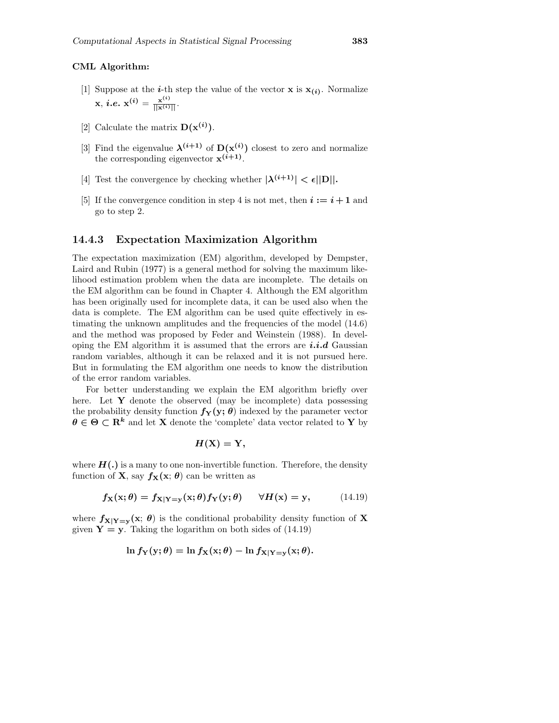#### CML Algorithm:

- [1] Suppose at the *i*-th step the value of the vector **x** is  $\mathbf{x}_{(i)}$ . Normalize  $\mathbf{x}, i.e. \; \mathbf{x^{(i)}} = \frac{\mathbf{x^{(i)}}}{||\mathbf{x^{(i)}}||}.$
- [2] Calculate the matrix  $D(\mathbf{x}^{(i)})$ .
- [3] Find the eigenvalue  $\lambda^{(i+1)}$  of  $D(x^{(i)})$  closest to zero and normalize the corresponding eigenvector  $\mathbf{x}^{(i+1)}$ .
- [4] Test the convergence by checking whether  $|\lambda^{(i+1)}| < \epsilon ||\mathbf{D}||$ .
- [5] If the convergence condition in step 4 is not met, then  $i := i + 1$  and go to step 2.

#### 14.4.3 Expectation Maximization Algorithm

The expectation maximization (EM) algorithm, developed by Dempster, Laird and Rubin (1977) is a general method for solving the maximum likelihood estimation problem when the data are incomplete. The details on the EM algorithm can be found in Chapter 4. Although the EM algorithm has been originally used for incomplete data, it can be used also when the data is complete. The EM algorithm can be used quite effectively in estimating the unknown amplitudes and the frequencies of the model (14.6) and the method was proposed by Feder and Weinstein (1988). In developing the EM algorithm it is assumed that the errors are  $i.i.d$  Gaussian random variables, although it can be relaxed and it is not pursued here. But in formulating the EM algorithm one needs to know the distribution of the error random variables.

For better understanding we explain the EM algorithm briefly over here. Let Y denote the observed (may be incomplete) data possessing the probability density function  $f_Y(y; \theta)$  indexed by the parameter vector  $\theta \in \Theta \subset \mathbb{R}^k$  and let **X** denote the 'complete' data vector related to **Y** by

$$
H(\mathbf{X})=\mathbf{Y},
$$

where  $H(.)$  is a many to one non-invertible function. Therefore, the density function of **X**, say  $f_{\mathbf{X}}(\mathbf{x}; \theta)$  can be written as

$$
f_{\mathbf{X}}(\mathbf{x};\theta) = f_{\mathbf{X}|\mathbf{Y}=\mathbf{y}}(\mathbf{x};\theta) f_{\mathbf{Y}}(\mathbf{y};\theta) \quad \forall H(\mathbf{x}) = \mathbf{y}, \quad (14.19)
$$

where  $f_{X|Y=y}(x; \theta)$  is the conditional probability density function of X given  $Y = y$ . Taking the logarithm on both sides of (14.19)

$$
\ln f_{\mathbf{Y}}(\mathbf{y};\theta) = \ln f_{\mathbf{X}}(\mathbf{x};\theta) - \ln f_{\mathbf{X}|\mathbf{Y}=\mathbf{y}}(\mathbf{x};\theta).
$$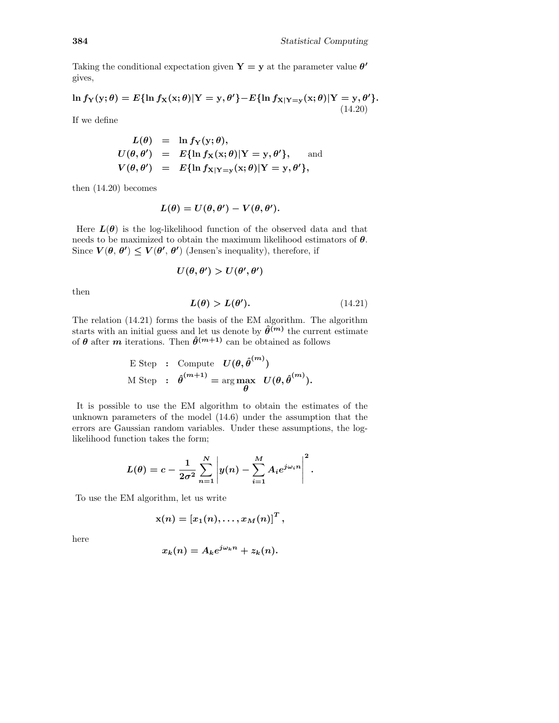Taking the conditional expectation given  $Y = y$  at the parameter value  $\theta'$ gives,

$$
\ln f_{\mathbf{Y}}(\mathbf{y};\theta) = E\{\ln f_{\mathbf{X}}(\mathbf{x};\theta)|\mathbf{Y}=\mathbf{y},\theta'\}-E\{\ln f_{\mathbf{X}|\mathbf{Y}=\mathbf{y}}(\mathbf{x};\theta)|\mathbf{Y}=\mathbf{y},\theta'\}.
$$
\n(14.20)

If we define

$$
L(\theta) = \ln f_{\mathbf{Y}}(\mathbf{y}; \theta),
$$
  
\n
$$
U(\theta, \theta') = E{\ln f_{\mathbf{X}}(\mathbf{x}; \theta)|\mathbf{Y} = \mathbf{y}, \theta'}, \text{ and}
$$
  
\n
$$
V(\theta, \theta') = E{\ln f_{\mathbf{X}|\mathbf{Y} = \mathbf{y}}(\mathbf{x}; \theta)|\mathbf{Y} = \mathbf{y}, \theta'},
$$

then (14.20) becomes

$$
L(\theta) = U(\theta, \theta') - V(\theta, \theta').
$$

Here  $L(\theta)$  is the log-likelihood function of the observed data and that needs to be maximized to obtain the maximum likelihood estimators of  $\theta$ . Since  $V(\theta, \theta') \le V(\theta', \theta')$  (Jensen's inequality), therefore, if

$$
U(\theta,\theta')>U(\theta',\theta')
$$

then

$$
L(\theta) > L(\theta'). \tag{14.21}
$$

The relation (14.21) forms the basis of the EM algorithm. The algorithm starts with an initial guess and let us denote by  $\hat{\theta}^{(m)}$  the current estimate of  $\theta$  after m iterations. Then  $\hat{\theta}^{(m+1)}$  can be obtained as follows

E Step : Compute 
$$
U(\theta, \hat{\theta}^{(m)})
$$
  
M Step :  $\hat{\theta}^{(m+1)} = \arg \max_{\theta} U(\theta, \hat{\theta}^{(m)})$ .

It is possible to use the EM algorithm to obtain the estimates of the unknown parameters of the model (14.6) under the assumption that the errors are Gaussian random variables. Under these assumptions, the loglikelihood function takes the form;

$$
L(\theta) = c - \frac{1}{2\sigma^2} \sum_{n=1}^N \left| y(n) - \sum_{i=1}^M A_i e^{j\omega_i n} \right|^2.
$$

To use the EM algorithm, let us write

$$
\mathrm{x}(n) = \left[x_1(n),\ldots,x_M(n)\right]^T,
$$

here

$$
x_k(n) = A_k e^{j\omega_k n} + z_k(n).
$$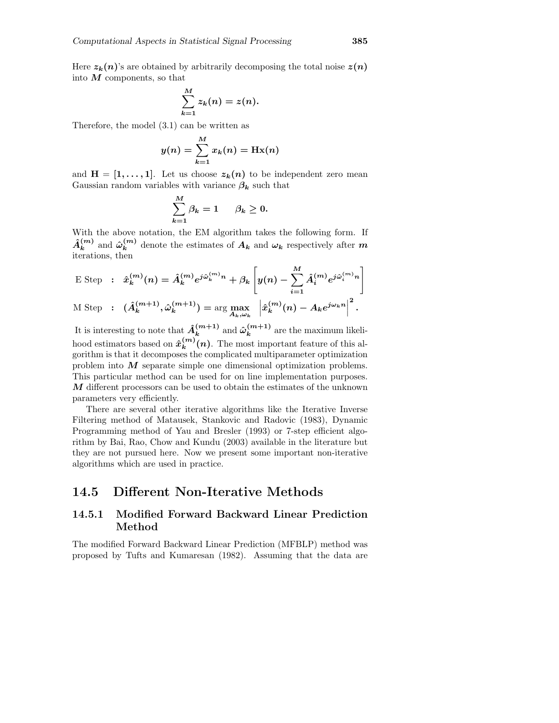Here  $z_k(n)$ 's are obtained by arbitrarily decomposing the total noise  $z(n)$ into  $M$  components, so that

$$
\sum_{k=1}^M z_k(n) = z(n).
$$

Therefore, the model (3.1) can be written as

$$
y(n) = \sum_{k=1}^{M} x_k(n) = \text{Hx}(n)
$$

and  $H = [1, \ldots, 1]$ . Let us choose  $z_k(n)$  to be independent zero mean Gaussian random variables with variance  $\beta_k$  such that

$$
\sum_{k=1}^{M} \beta_k = 1 \qquad \beta_k \geq 0.
$$

With the above notation, the EM algorithm takes the following form. If  $\hat{A}_k^{(m)}$  $_k^{(m)}$  and  $\hat{\omega}_k^{(m)}$  $\binom{m}{k}$  denote the estimates of  $A_k$  and  $\omega_k$  respectively after m iterations, then

$$
\begin{aligned}\n\text{E Step} & \; : \; \hat{x}_k^{(m)}(n) = \hat{A}_k^{(m)} e^{j\hat{\omega}_k^{(m)}n} + \beta_k \left[ y(n) - \sum_{i=1}^M \hat{A}_i^{(m)} e^{j\hat{\omega}_i^{(m)}n} \right] \\
\text{M Step} & \; : \; (\hat{A}_k^{(m+1)}, \hat{\omega}_k^{(m+1)}) = \arg \max_{A_k, \omega_k} \; \left| \hat{x}_k^{(m)}(n) - A_k e^{j\omega_k n} \right|^2.\n\end{aligned}
$$

It is interesting to note that  $\hat{A}_k^{(m+1)}$  $\hat{\omega}_k^{(m+1)}$  and  $\hat{\omega}_k^{(m+1)}$  $\binom{m+1}{k}$  are the maximum likelihood estimators based on  $\hat{x}_k^{(m)}$  $\binom{m}{k}(n)$ . The most important feature of this algorithm is that it decomposes the complicated multiparameter optimization problem into  $M$  separate simple one dimensional optimization problems. This particular method can be used for on line implementation purposes.  $M$  different processors can be used to obtain the estimates of the unknown parameters very efficiently.

There are several other iterative algorithms like the Iterative Inverse Filtering method of Matausek, Stankovic and Radovic (1983), Dynamic Programming method of Yau and Bresler (1993) or 7-step efficient algorithm by Bai, Rao, Chow and Kundu (2003) available in the literature but they are not pursued here. Now we present some important non-iterative algorithms which are used in practice.

## 14.5 Different Non-Iterative Methods

### 14.5.1 Modified Forward Backward Linear Prediction Method

The modified Forward Backward Linear Prediction (MFBLP) method was proposed by Tufts and Kumaresan (1982). Assuming that the data are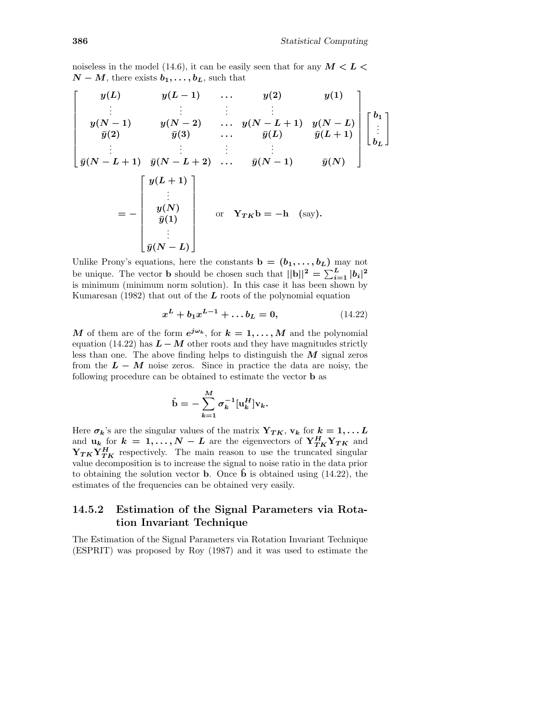noiseless in the model (14.6), it can be easily seen that for any  $M < L <$  $N - M$ , there exists  $b_1, \ldots, b_L$ , such that

$$
\begin{bmatrix}\ny(L) & y(L-1) & \dots & y(2) & y(1) \\
\vdots & \vdots & \vdots & \vdots \\
y(N-1) & y(N-2) & \dots & y(N-L+1) & y(N-L) \\
\overline{y}(2) & \overline{y}(3) & \dots & \overline{y}(L) & \overline{y}(L+1) \\
\vdots & \vdots & \vdots & \vdots & \vdots \\
\overline{y}(N-L+1) & \overline{y}(N-L+2) & \dots & \overline{y}(N-1) & \overline{y}(N)\n\end{bmatrix}\n\begin{bmatrix}\nb_1 \\
\vdots \\
b_L\n\end{bmatrix}
$$
\n
$$
= -\begin{bmatrix}\ny(L+1) \\
\vdots \\
y(N) \\
\overline{y}(1) \\
\vdots \\
\overline{y}(N-L)\n\end{bmatrix} \quad \text{or} \quad Y_{TK}b = -h \quad \text{(say)}.
$$

Unlike Prony's equations, here the constants  $\mathbf{b} = (\mathbf{b}_1, \dots, \mathbf{b}_L)$  may not be unique. The vector **b** should be chosen such that  $||\mathbf{b}||^2 = \sum_{i=1}^{L} |b_i|^2$ is minimum (minimum norm solution). In this case it has been shown by Kumaresan (1982) that out of the  $L$  roots of the polynomial equation

$$
x^{L} + b_{1}x^{L-1} + \dots + b_{L} = 0, \qquad (14.22)
$$

M of them are of the form  $e^{j\omega_k}$ , for  $k = 1, ..., M$  and the polynomial equation (14.22) has  $L - M$  other roots and they have magnitudes strictly less than one. The above finding helps to distinguish the  $M$  signal zeros from the  $L - M$  noise zeros. Since in practice the data are noisy, the following procedure can be obtained to estimate the vector b as

$$
\hat{\mathbf{b}} = -\sum_{k=1}^M \sigma_k^{-1}[\mathbf{u}_k^H] \mathbf{v}_k.
$$

Here  $\sigma_k$ 's are the singular values of the matrix  $Y_{TK}$ ,  $v_k$  for  $k = 1, \ldots L$ and  $\mathbf{u}_k$  for  $k = 1, ..., N - L$  are the eigenvectors of  $\mathbf{Y}_{TK}^H \mathbf{Y}_{TK}$  and  $Y_{TK}Y_{TK}^H$  respectively. The main reason to use the truncated singular value decomposition is to increase the signal to noise ratio in the data prior to obtaining the solution vector **b**. Once **b** is obtained using  $(14.22)$ , the estimates of the frequencies can be obtained very easily.

### 14.5.2 Estimation of the Signal Parameters via Rotation Invariant Technique

The Estimation of the Signal Parameters via Rotation Invariant Technique (ESPRIT) was proposed by Roy (1987) and it was used to estimate the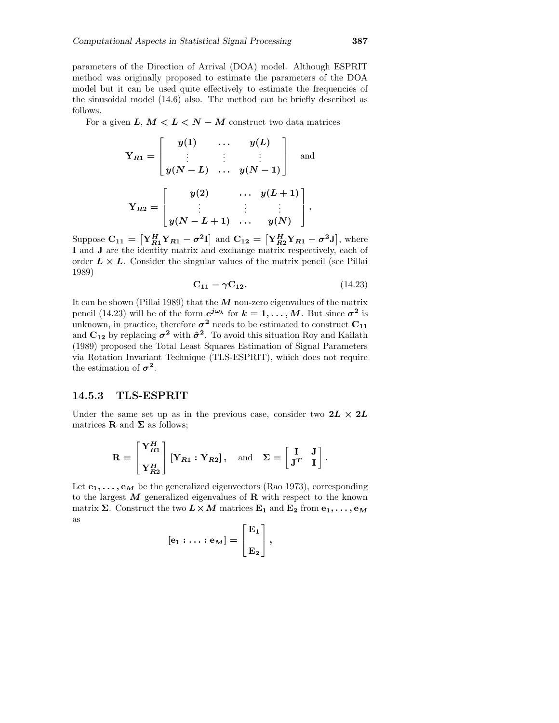parameters of the Direction of Arrival (DOA) model. Although ESPRIT method was originally proposed to estimate the parameters of the DOA model but it can be used quite effectively to estimate the frequencies of the sinusoidal model (14.6) also. The method can be briefly described as follows.

For a given  $L, M < L < N - M$  construct two data matrices

$$
Y_{R1} = \begin{bmatrix} y(1) & \cdots & y(L) \\ \vdots & \vdots & \vdots \\ y(N-L) & \cdots & y(N-1) \end{bmatrix} \text{ and }
$$

$$
Y_{R2} = \begin{bmatrix} y(2) & \cdots & y(L+1) \\ \vdots & \vdots & \vdots \\ y(N-L+1) & \cdots & y(N) \end{bmatrix}.
$$

Suppose  $C_{11} = \left[ Y_{R1}^H Y_{R1} - \sigma^2 I \right]$  and  $C_{12} = \left[ Y_{R2}^H Y_{R1} - \sigma^2 J \right]$ , where I and J are the identity matrix and exchange matrix respectively, each of order  $L \times L$ . Consider the singular values of the matrix pencil (see Pillai 1989)

$$
\mathbf{C_{11}} - \gamma \mathbf{C_{12}}.\tag{14.23}
$$

It can be shown (Pillai 1989) that the  $M$  non-zero eigenvalues of the matrix pencil (14.23) will be of the form  $e^{j\omega_k}$  for  $k=1,\ldots,M$ . But since  $\sigma^2$  is unknown, in practice, therefore  $\sigma^2$  needs to be estimated to construct  $\mathrm{C}_{11}$ and  $C_{12}$  by replacing  $\sigma^2$  with  $\hat{\sigma}^2$ . To avoid this situation Roy and Kailath (1989) proposed the Total Least Squares Estimation of Signal Parameters via Rotation Invariant Technique (TLS-ESPRIT), which does not require the estimation of  $\sigma^2$ .

#### 14.5.3 TLS-ESPRIT

Under the same set up as in the previous case, consider two  $2L \times 2L$ matrices **R** and  $\Sigma$  as follows;

$$
\mathbf{R} = \begin{bmatrix} \mathbf{Y}_{R1}^H \\ \mathbf{Y}_{R2}^H \end{bmatrix} [\mathbf{Y}_{R1} : \mathbf{Y}_{R2}], \text{ and } \Sigma = \begin{bmatrix} \mathbf{I} & \mathbf{J} \\ \mathbf{J}^T & \mathbf{I} \end{bmatrix}.
$$

Let  $e_1, \ldots, e_M$  be the generalized eigenvectors (Rao 1973), corresponding to the largest  $M$  generalized eigenvalues of  $R$  with respect to the known matrix  $\Sigma$ . Construct the two  $L \times M$  matrices  $E_1$  and  $E_2$  from  $e_1, \ldots, e_M$ as

$$
[{\rm e}_1:\ldots:{\rm e}_M]=\left[\begin{matrix} {\rm E}_1\\ {\rm E}_2\end{matrix}\right],
$$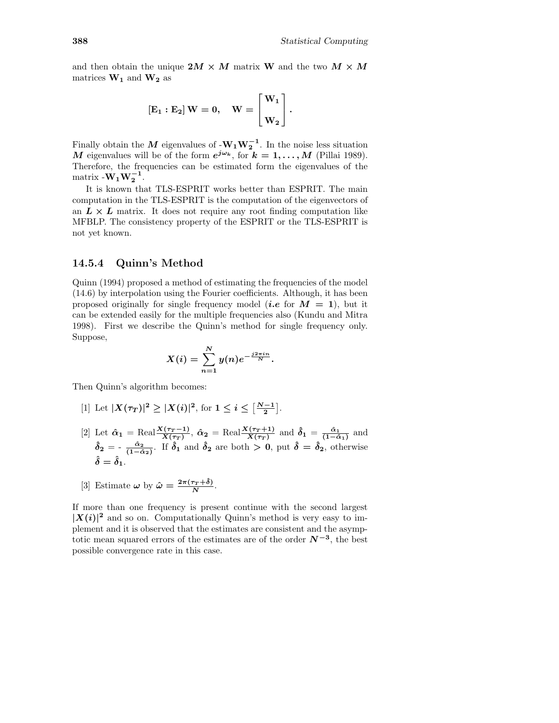and then obtain the unique  $2M \times M$  matrix W and the two  $M \times M$ matrices  $\mathbf{W_{1}}$  and  $\mathbf{W_{2}}$  as

$$
\left[E_1:E_2\right]W=0,\quad W=\begin{bmatrix}W_1\\W_2\end{bmatrix}.
$$

Finally obtain the M eigenvalues of  $-W_1W_2^{-1}$ . In the noise less situation M eigenvalues will be of the form  $e^{j\omega_k}$ , for  $k = 1, ..., M$  (Pillai 1989). Therefore, the frequencies can be estimated form the eigenvalues of the matrix  $-W_1W_2^{-1}$ .

It is known that TLS-ESPRIT works better than ESPRIT. The main computation in the TLS-ESPRIT is the computation of the eigenvectors of an  $L \times L$  matrix. It does not require any root finding computation like MFBLP. The consistency property of the ESPRIT or the TLS-ESPRIT is not yet known.

#### 14.5.4 Quinn's Method

Quinn (1994) proposed a method of estimating the frequencies of the model (14.6) by interpolation using the Fourier coefficients. Although, it has been proposed originally for single frequency model (*i.e.* for  $M = 1$ ), but it can be extended easily for the multiple frequencies also (Kundu and Mitra 1998). First we describe the Quinn's method for single frequency only. Suppose,

$$
X(i) = \sum_{n=1}^{N} y(n) e^{-\frac{j2\pi in}{N}}.
$$

Then Quinn's algorithm becomes:

- [1] Let  $|X(\tau_T)|^2 \geq |X(i)|^2$ , for  $1 \leq i \leq \left[\frac{N-1}{2}\right]$ .
- [2] Let  $\hat{\alpha}_1 = \text{Real}\frac{X(\tau_T 1)}{X(\tau_T)}, \hat{\alpha}_2 = \text{Real}\frac{X(\tau_T + 1)}{X(\tau_T)}$  and  $\hat{\delta}_1 = \frac{\hat{\alpha}_1}{(1 \hat{\alpha}_1)}$  and  $\hat{\delta}_2 = -\frac{\hat{\alpha}_2}{(1-\hat{\alpha}_2)}$ . If  $\hat{\delta}_1$  and  $\hat{\delta}_2$  are both  $> 0$ , put  $\hat{\delta} = \hat{\delta}_2$ , otherwise  $\hat{\delta}=\hat{\delta}_1.$
- [3] Estimate  $\omega$  by  $\hat{\omega} = \frac{2\pi(\tau_T + \hat{\delta})}{N}$ .

If more than one frequency is present continue with the second largest  $|X(i)|^2$  and so on. Computationally Quinn's method is very easy to implement and it is observed that the estimates are consistent and the asymptotic mean squared errors of the estimates are of the order  $N^{-3}$ , the best possible convergence rate in this case.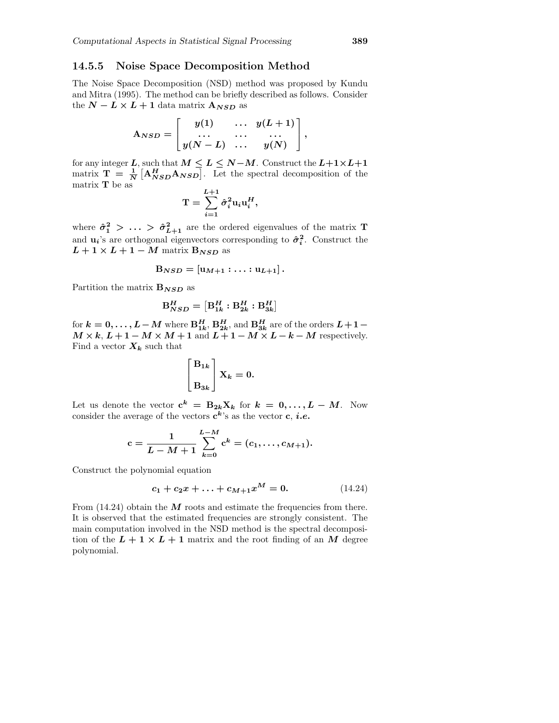### 14.5.5 Noise Space Decomposition Method

The Noise Space Decomposition (NSD) method was proposed by Kundu and Mitra (1995). The method can be briefly described as follows. Consider the  $N - L \times L + 1$  data matrix  $A_{NSD}$  as

$$
\mathbf{A}_{NSD} = \begin{bmatrix} y(1) & \ldots & y(L+1) \\ \ldots & \ldots & \ldots \\ y(N-L) & \ldots & y(N) \end{bmatrix},
$$

for any integer L, such that  $M \leq L \leq N-M$ . Construct the  $L+1 \times L+1$ matrix  $\mathbf{T} = \frac{1}{N} \left[ \mathbf{A}_{NSD}^H \mathbf{A}_{NSD} \right]$ . Let the spectral decomposition of the matrix  $\mathbf T$  be as

$$
\mathbf{T} = \sum_{i=1}^{L+1} \hat{\sigma}_i^2 \mathbf{u}_i \mathbf{u}_i^H,
$$

where  $\hat{\sigma}_1^2 > \ldots > \hat{\sigma}_{L+1}^2$  are the ordered eigenvalues of the matrix T and  $\mathbf{u}_i$ 's are orthogonal eigenvectors corresponding to  $\hat{\sigma}_i^2$ . Construct the  $L+1\times L+1-M$  matrix  $\mathbf{B}_{NSD}$  as

$$
\mathbf{B}_{NSD}=[\mathbf{u}_{M+1}:\ldots:\mathbf{u}_{L+1}].
$$

Partition the matrix  $B_{NSD}$  as

$$
\mathbf{B}_{NSD}^H = \left[ \mathbf{B}_{1k}^H: \mathbf{B}_{2k}^H: \mathbf{B}_{3k}^H \right]
$$

for  $k = 0, ..., L-M$  where  $B_{1k}^H$ ,  $B_{2k}^H$ , and  $B_{3k}^H$  are of the orders  $L+1$  –  $M \times k$ ,  $L + 1 - M \times M + 1$  and  $L + 1 - M \times L - k - M$  respectively. Find a vector  $X_k$  such that

$$
\begin{bmatrix} \mathbf{B}_{1k} \\ \mathbf{B}_{3k} \end{bmatrix} \mathbf{X}_k = 0.
$$

Let us denote the vector  $\mathbf{c}^k = \mathbf{B}_{2k} \mathbf{X}_k$  for  $k = 0, \ldots, L - M$ . Now consider the average of the vectors  $c^k$ 's as the vector  $c, i.e.$ 

$$
\mathrm{c} = \frac{1}{L-M+1} \sum_{k=0}^{L-M} \mathrm{c}^k = (c_1, \ldots, c_{M+1}).
$$

Construct the polynomial equation

$$
c_1 + c_2 x + \ldots + c_{M+1} x^M = 0. \tag{14.24}
$$

From  $(14.24)$  obtain the M roots and estimate the frequencies from there. It is observed that the estimated frequencies are strongly consistent. The main computation involved in the NSD method is the spectral decomposition of the  $L + 1 \times L + 1$  matrix and the root finding of an M degree polynomial.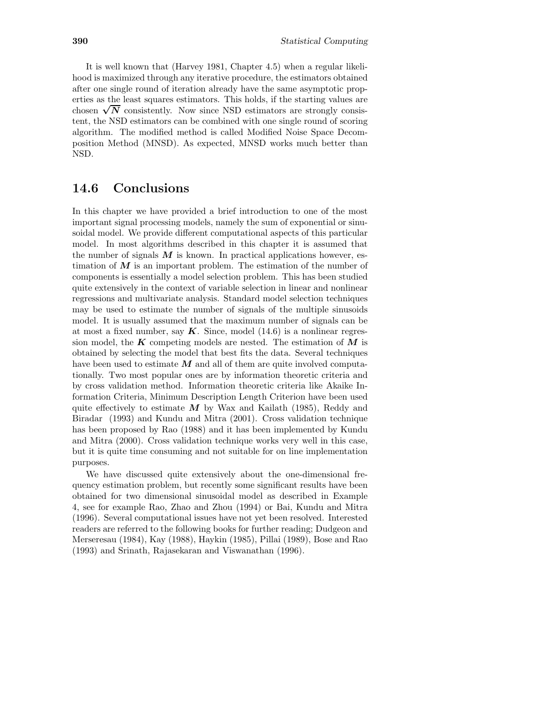It is well known that (Harvey 1981, Chapter 4.5) when a regular likelihood is maximized through any iterative procedure, the estimators obtained after one single round of iteration already have the same asymptotic properties as the least squares estimators. This holds, if the starting values are chosen  $\sqrt{N}$  consistently. Now since NSD estimators are strongly consistent tent, the NSD estimators can be combined with one single round of scoring algorithm. The modified method is called Modified Noise Space Decomposition Method (MNSD). As expected, MNSD works much better than NSD.

## 14.6 Conclusions

In this chapter we have provided a brief introduction to one of the most important signal processing models, namely the sum of exponential or sinusoidal model. We provide different computational aspects of this particular model. In most algorithms described in this chapter it is assumed that the number of signals  $M$  is known. In practical applications however, estimation of  $M$  is an important problem. The estimation of the number of components is essentially a model selection problem. This has been studied quite extensively in the context of variable selection in linear and nonlinear regressions and multivariate analysis. Standard model selection techniques may be used to estimate the number of signals of the multiple sinusoids model. It is usually assumed that the maximum number of signals can be at most a fixed number, say  $K$ . Since, model (14.6) is a nonlinear regression model, the  $K$  competing models are nested. The estimation of  $M$  is obtained by selecting the model that best fits the data. Several techniques have been used to estimate  $M$  and all of them are quite involved computationally. Two most popular ones are by information theoretic criteria and by cross validation method. Information theoretic criteria like Akaike Information Criteria, Minimum Description Length Criterion have been used quite effectively to estimate  $\overline{M}$  by Wax and Kailath (1985), Reddy and Biradar (1993) and Kundu and Mitra (2001). Cross validation technique has been proposed by Rao (1988) and it has been implemented by Kundu and Mitra (2000). Cross validation technique works very well in this case, but it is quite time consuming and not suitable for on line implementation purposes.

We have discussed quite extensively about the one-dimensional frequency estimation problem, but recently some significant results have been obtained for two dimensional sinusoidal model as described in Example 4, see for example Rao, Zhao and Zhou (1994) or Bai, Kundu and Mitra (1996). Several computational issues have not yet been resolved. Interested readers are referred to the following books for further reading; Dudgeon and Merseresau (1984), Kay (1988), Haykin (1985), Pillai (1989), Bose and Rao (1993) and Srinath, Rajasekaran and Viswanathan (1996).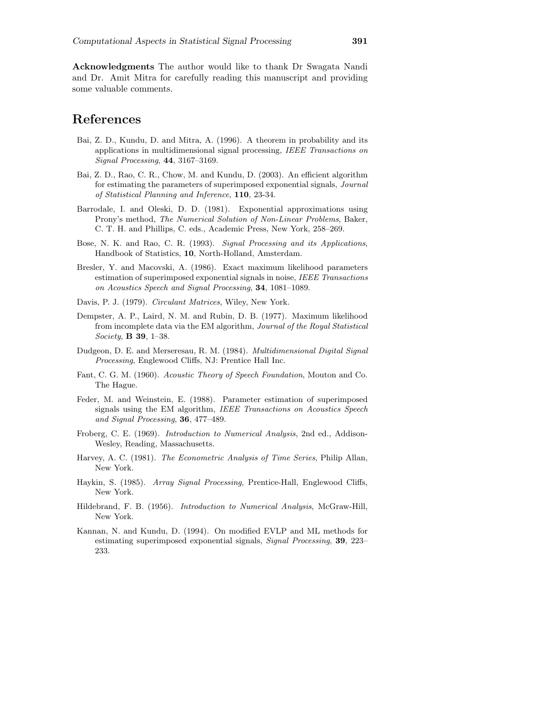Acknowledgments The author would like to thank Dr Swagata Nandi and Dr. Amit Mitra for carefully reading this manuscript and providing some valuable comments.

### References

- Bai, Z. D., Kundu, D. and Mitra, A. (1996). A theorem in probability and its applications in multidimensional signal processing, IEEE Transactions on Signal Processing, 44, 3167–3169.
- Bai, Z. D., Rao, C. R., Chow, M. and Kundu, D. (2003). An efficient algorithm for estimating the parameters of superimposed exponential signals, Journal of Statistical Planning and Inference, 110, 23-34.
- Barrodale, I. and Oleski, D. D. (1981). Exponential approximations using Prony's method, The Numerical Solution of Non-Linear Problems, Baker, C. T. H. and Phillips, C. eds., Academic Press, New York, 258–269.
- Bose, N. K. and Rao, C. R. (1993). Signal Processing and its Applications, Handbook of Statistics, 10, North-Holland, Amsterdam.
- Bresler, Y. and Macovski, A. (1986). Exact maximum likelihood parameters estimation of superimposed exponential signals in noise, IEEE Transactions on Acoustics Speech and Signal Processing, 34, 1081–1089.
- Davis, P. J. (1979). Circulant Matrices, Wiley, New York.
- Dempster, A. P., Laird, N. M. and Rubin, D. B. (1977). Maximum likelihood from incomplete data via the EM algorithm, Journal of the Royal Statistical Society, B 39, 1–38.
- Dudgeon, D. E. and Merseresau, R. M. (1984). Multidimensional Digital Signal Processing, Englewood Cliffs, NJ: Prentice Hall Inc.
- Fant, C. G. M. (1960). Acoustic Theory of Speech Foundation, Mouton and Co. The Hague.
- Feder, M. and Weinstein, E. (1988). Parameter estimation of superimposed signals using the EM algorithm, IEEE Transactions on Acoustics Speech and Signal Processing, 36, 477–489.
- Froberg, C. E. (1969). Introduction to Numerical Analysis, 2nd ed., Addison-Wesley, Reading, Massachusetts.
- Harvey, A. C. (1981). The Econometric Analysis of Time Series, Philip Allan, New York.
- Haykin, S. (1985). Array Signal Processing, Prentice-Hall, Englewood Cliffs, New York.
- Hildebrand, F. B. (1956). Introduction to Numerical Analysis, McGraw-Hill, New York.
- Kannan, N. and Kundu, D. (1994). On modified EVLP and ML methods for estimating superimposed exponential signals, *Signal Processing*, 39, 223– 233.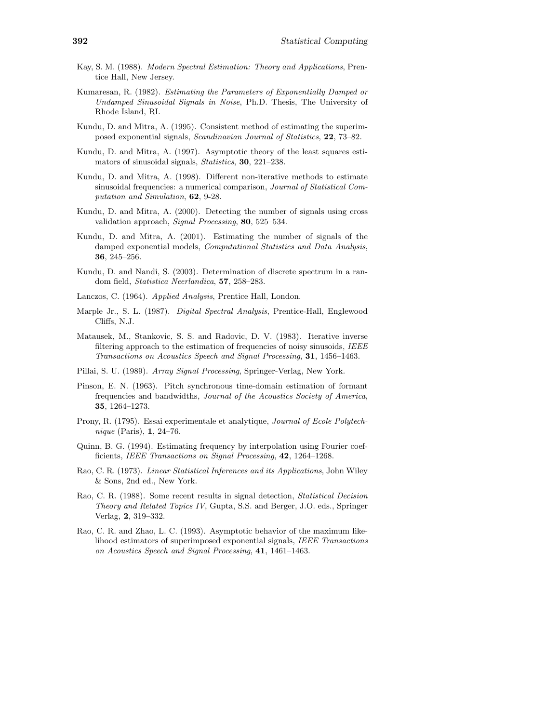- Kay, S. M. (1988). Modern Spectral Estimation: Theory and Applications, Prentice Hall, New Jersey.
- Kumaresan, R. (1982). Estimating the Parameters of Exponentially Damped or Undamped Sinusoidal Signals in Noise, Ph.D. Thesis, The University of Rhode Island, RI.
- Kundu, D. and Mitra, A. (1995). Consistent method of estimating the superimposed exponential signals, Scandinavian Journal of Statistics, 22, 73–82.
- Kundu, D. and Mitra, A. (1997). Asymptotic theory of the least squares estimators of sinusoidal signals, Statistics, 30, 221–238.
- Kundu, D. and Mitra, A. (1998). Different non-iterative methods to estimate sinusoidal frequencies: a numerical comparison, *Journal of Statistical Com*putation and Simulation, 62, 9-28.
- Kundu, D. and Mitra, A. (2000). Detecting the number of signals using cross validation approach, Signal Processing, 80, 525–534.
- Kundu, D. and Mitra, A. (2001). Estimating the number of signals of the damped exponential models, Computational Statistics and Data Analysis, 36, 245–256.
- Kundu, D. and Nandi, S. (2003). Determination of discrete spectrum in a random field, Statistica Neerlandica, 57, 258–283.
- Lanczos, C. (1964). Applied Analysis, Prentice Hall, London.
- Marple Jr., S. L. (1987). Digital Spectral Analysis, Prentice-Hall, Englewood Cliffs, N.J.
- Matausek, M., Stankovic, S. S. and Radovic, D. V. (1983). Iterative inverse filtering approach to the estimation of frequencies of noisy sinusoids, IEEE Transactions on Acoustics Speech and Signal Processing, 31, 1456–1463.
- Pillai, S. U. (1989). Array Signal Processing, Springer-Verlag, New York.
- Pinson, E. N. (1963). Pitch synchronous time-domain estimation of formant frequencies and bandwidths, Journal of the Acoustics Society of America, 35, 1264–1273.
- Prony, R. (1795). Essai experimentale et analytique, Journal of Ecole Polytechnique (Paris), 1, 24–76.
- Quinn, B. G. (1994). Estimating frequency by interpolation using Fourier coefficients, IEEE Transactions on Signal Processing, 42, 1264-1268.
- Rao, C. R. (1973). Linear Statistical Inferences and its Applications, John Wiley & Sons, 2nd ed., New York.
- Rao, C. R. (1988). Some recent results in signal detection, Statistical Decision Theory and Related Topics IV, Gupta, S.S. and Berger, J.O. eds., Springer Verlag, 2, 319–332.
- Rao, C. R. and Zhao, L. C. (1993). Asymptotic behavior of the maximum likelihood estimators of superimposed exponential signals, IEEE Transactions on Acoustics Speech and Signal Processing, 41, 1461–1463.